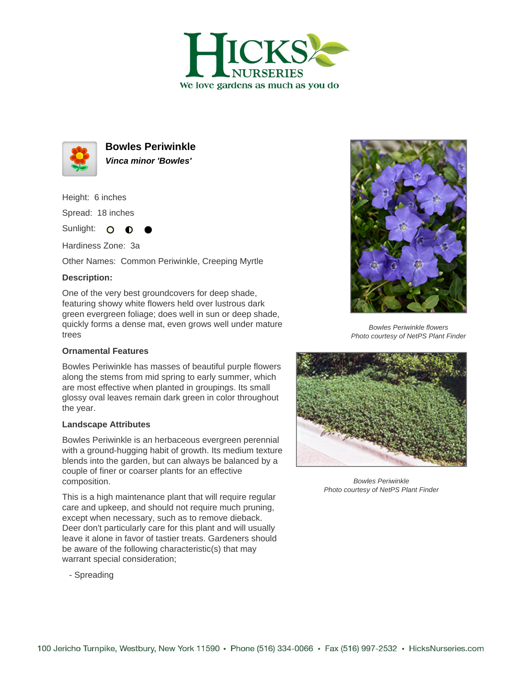



**Bowles Periwinkle Vinca minor 'Bowles'**

Height: 6 inches

Spread: 18 inches

Sunlight: O **O** 

Hardiness Zone: 3a

Other Names: Common Periwinkle, Creeping Myrtle

## **Description:**

One of the very best groundcovers for deep shade, featuring showy white flowers held over lustrous dark green evergreen foliage; does well in sun or deep shade, quickly forms a dense mat, even grows well under mature trees

## **Ornamental Features**

Bowles Periwinkle has masses of beautiful purple flowers along the stems from mid spring to early summer, which are most effective when planted in groupings. Its small glossy oval leaves remain dark green in color throughout the year.

## **Landscape Attributes**

Bowles Periwinkle is an herbaceous evergreen perennial with a ground-hugging habit of growth. Its medium texture blends into the garden, but can always be balanced by a couple of finer or coarser plants for an effective composition.

This is a high maintenance plant that will require regular care and upkeep, and should not require much pruning, except when necessary, such as to remove dieback. Deer don't particularly care for this plant and will usually leave it alone in favor of tastier treats. Gardeners should be aware of the following characteristic(s) that may warrant special consideration;

- Spreading



Bowles Periwinkle flowers Photo courtesy of NetPS Plant Finder



Bowles Periwinkle Photo courtesy of NetPS Plant Finder